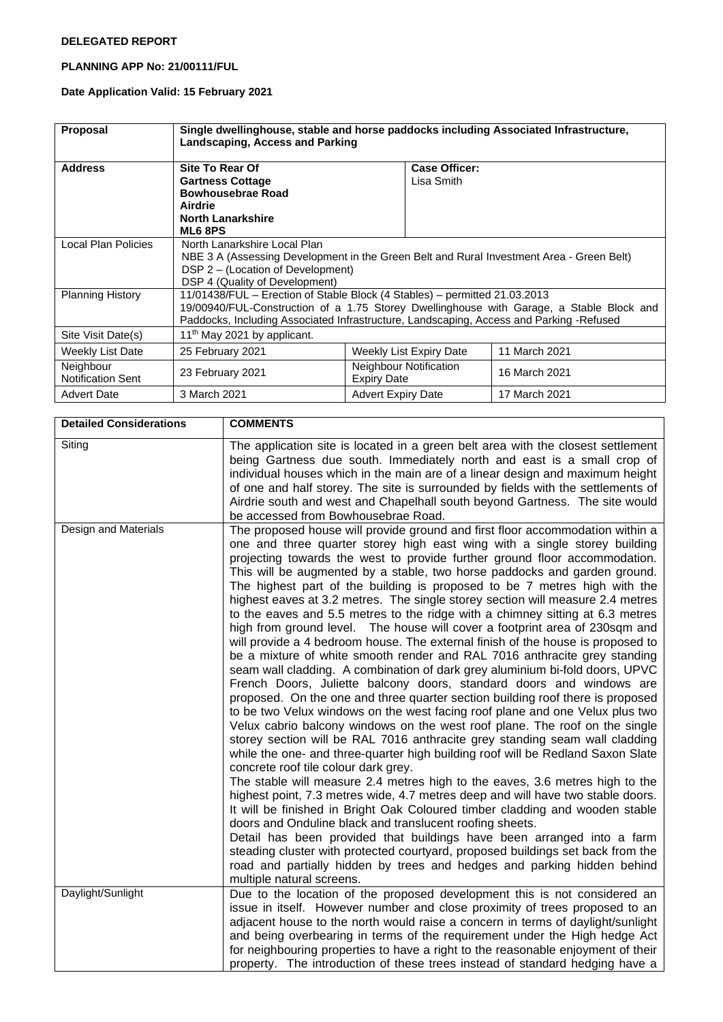#### **DELEGATED REPORT**

## **PLANNING APP No: 21/00111/FUL**

# **Date Application Valid: 15 February 2021**

| <b>Proposal</b>                       | Single dwellinghouse, stable and horse paddocks including Associated Infrastructure,<br>Landscaping, Access and Parking                                                                                                                                           |                                              |                             |               |  |
|---------------------------------------|-------------------------------------------------------------------------------------------------------------------------------------------------------------------------------------------------------------------------------------------------------------------|----------------------------------------------|-----------------------------|---------------|--|
| <b>Address</b>                        | Site To Rear Of<br><b>Gartness Cottage</b><br><b>Bowhousebrae Road</b><br>Airdrie<br><b>North Lanarkshire</b><br>ML68PS                                                                                                                                           |                                              | Case Officer:<br>Lisa Smith |               |  |
| Local Plan Policies                   | North Lanarkshire Local Plan<br>NBE 3 A (Assessing Development in the Green Belt and Rural Investment Area - Green Belt)<br>DSP 2 – (Location of Development)<br>DSP 4 (Quality of Development)                                                                   |                                              |                             |               |  |
| <b>Planning History</b>               | 11/01438/FUL – Erection of Stable Block (4 Stables) – permitted 21.03.2013<br>19/00940/FUL-Construction of a 1.75 Storey Dwellinghouse with Garage, a Stable Block and<br>Paddocks, Including Associated Infrastructure, Landscaping, Access and Parking -Refused |                                              |                             |               |  |
| Site Visit Date(s)                    | 11 <sup>th</sup> May 2021 by applicant.                                                                                                                                                                                                                           |                                              |                             |               |  |
| Weekly List Date                      | 25 February 2021                                                                                                                                                                                                                                                  |                                              | Weekly List Expiry Date     | 11 March 2021 |  |
| Neighbour<br><b>Notification Sent</b> | 23 February 2021                                                                                                                                                                                                                                                  | Neighbour Notification<br><b>Expiry Date</b> |                             | 16 March 2021 |  |
| <b>Advert Date</b>                    | 3 March 2021                                                                                                                                                                                                                                                      | <b>Advert Expiry Date</b>                    |                             | 17 March 2021 |  |

| <b>Detailed Considerations</b> | <b>COMMENTS</b>                                                                                                                                                                                                                                                                                                                                                                                                                                                                                                                                                                                                                                                                                                                                                                                                                                                                                                                                                                                                                                                                                                                                                                                                                                                                                                                                                                                                                                                                                                                                                                                                                                                                                                                                                                                                                                                                                                                                                                                                             |
|--------------------------------|-----------------------------------------------------------------------------------------------------------------------------------------------------------------------------------------------------------------------------------------------------------------------------------------------------------------------------------------------------------------------------------------------------------------------------------------------------------------------------------------------------------------------------------------------------------------------------------------------------------------------------------------------------------------------------------------------------------------------------------------------------------------------------------------------------------------------------------------------------------------------------------------------------------------------------------------------------------------------------------------------------------------------------------------------------------------------------------------------------------------------------------------------------------------------------------------------------------------------------------------------------------------------------------------------------------------------------------------------------------------------------------------------------------------------------------------------------------------------------------------------------------------------------------------------------------------------------------------------------------------------------------------------------------------------------------------------------------------------------------------------------------------------------------------------------------------------------------------------------------------------------------------------------------------------------------------------------------------------------------------------------------------------------|
| Siting                         | The application site is located in a green belt area with the closest settlement<br>being Gartness due south. Immediately north and east is a small crop of<br>individual houses which in the main are of a linear design and maximum height<br>of one and half storey. The site is surrounded by fields with the settlements of<br>Airdrie south and west and Chapelhall south beyond Gartness. The site would<br>be accessed from Bowhousebrae Road.                                                                                                                                                                                                                                                                                                                                                                                                                                                                                                                                                                                                                                                                                                                                                                                                                                                                                                                                                                                                                                                                                                                                                                                                                                                                                                                                                                                                                                                                                                                                                                      |
| Design and Materials           | The proposed house will provide ground and first floor accommodation within a<br>one and three quarter storey high east wing with a single storey building<br>projecting towards the west to provide further ground floor accommodation.<br>This will be augmented by a stable, two horse paddocks and garden ground.<br>The highest part of the building is proposed to be 7 metres high with the<br>highest eaves at 3.2 metres. The single storey section will measure 2.4 metres<br>to the eaves and 5.5 metres to the ridge with a chimney sitting at 6.3 metres<br>high from ground level. The house will cover a footprint area of 230sqm and<br>will provide a 4 bedroom house. The external finish of the house is proposed to<br>be a mixture of white smooth render and RAL 7016 anthracite grey standing<br>seam wall cladding. A combination of dark grey aluminium bi-fold doors, UPVC<br>French Doors, Juliette balcony doors, standard doors and windows are<br>proposed. On the one and three quarter section building roof there is proposed<br>to be two Velux windows on the west facing roof plane and one Velux plus two<br>Velux cabrio balcony windows on the west roof plane. The roof on the single<br>storey section will be RAL 7016 anthracite grey standing seam wall cladding<br>while the one- and three-quarter high building roof will be Redland Saxon Slate<br>concrete roof tile colour dark grey.<br>The stable will measure 2.4 metres high to the eaves, 3.6 metres high to the<br>highest point, 7.3 metres wide, 4.7 metres deep and will have two stable doors.<br>It will be finished in Bright Oak Coloured timber cladding and wooden stable<br>doors and Onduline black and translucent roofing sheets.<br>Detail has been provided that buildings have been arranged into a farm<br>steading cluster with protected courtyard, proposed buildings set back from the<br>road and partially hidden by trees and hedges and parking hidden behind<br>multiple natural screens. |
| Daylight/Sunlight              | Due to the location of the proposed development this is not considered an<br>issue in itself. However number and close proximity of trees proposed to an<br>adjacent house to the north would raise a concern in terms of daylight/sunlight<br>and being overbearing in terms of the requirement under the High hedge Act<br>for neighbouring properties to have a right to the reasonable enjoyment of their<br>property. The introduction of these trees instead of standard hedging have a                                                                                                                                                                                                                                                                                                                                                                                                                                                                                                                                                                                                                                                                                                                                                                                                                                                                                                                                                                                                                                                                                                                                                                                                                                                                                                                                                                                                                                                                                                                               |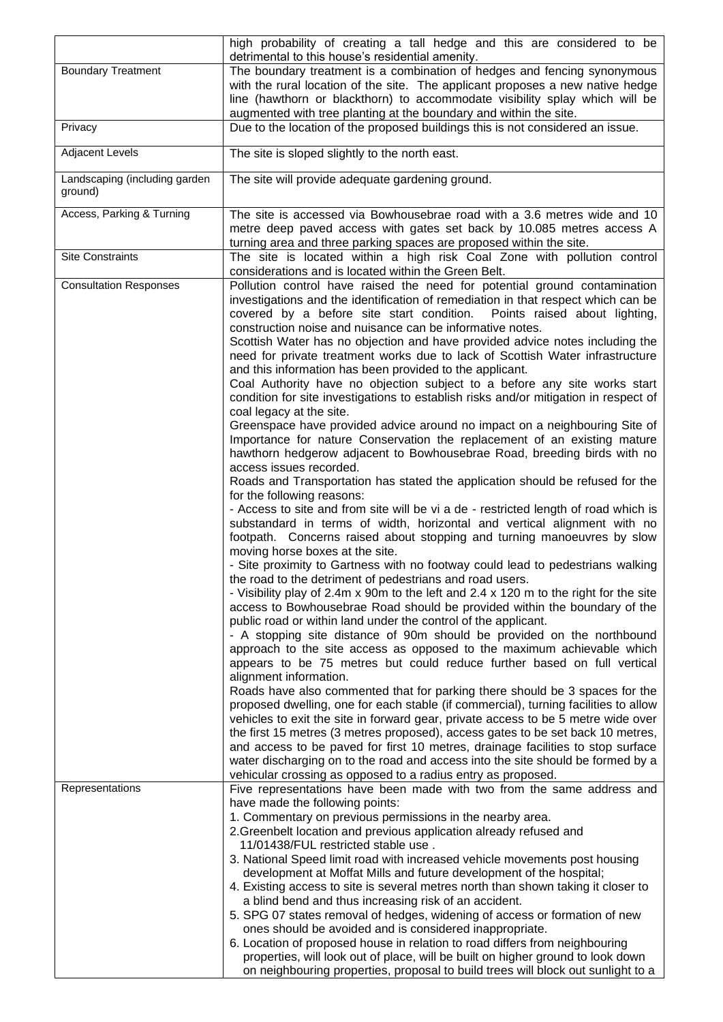|                                          | high probability of creating a tall hedge and this are considered to be                                                                                       |  |
|------------------------------------------|---------------------------------------------------------------------------------------------------------------------------------------------------------------|--|
|                                          | detrimental to this house's residential amenity.                                                                                                              |  |
| <b>Boundary Treatment</b>                | The boundary treatment is a combination of hedges and fencing synonymous                                                                                      |  |
|                                          | with the rural location of the site. The applicant proposes a new native hedge<br>line (hawthorn or blackthorn) to accommodate visibility splay which will be |  |
|                                          | augmented with tree planting at the boundary and within the site.                                                                                             |  |
| Privacy                                  | Due to the location of the proposed buildings this is not considered an issue.                                                                                |  |
| <b>Adjacent Levels</b>                   |                                                                                                                                                               |  |
|                                          | The site is sloped slightly to the north east.                                                                                                                |  |
| Landscaping (including garden<br>ground) | The site will provide adequate gardening ground.                                                                                                              |  |
| Access, Parking & Turning                | The site is accessed via Bowhousebrae road with a 3.6 metres wide and 10                                                                                      |  |
|                                          | metre deep paved access with gates set back by 10.085 metres access A<br>turning area and three parking spaces are proposed within the site.                  |  |
| <b>Site Constraints</b>                  | The site is located within a high risk Coal Zone with pollution control                                                                                       |  |
|                                          | considerations and is located within the Green Belt.                                                                                                          |  |
| <b>Consultation Responses</b>            | Pollution control have raised the need for potential ground contamination                                                                                     |  |
|                                          | investigations and the identification of remediation in that respect which can be                                                                             |  |
|                                          | covered by a before site start condition.  Points raised about lighting,                                                                                      |  |
|                                          | construction noise and nuisance can be informative notes.                                                                                                     |  |
|                                          | Scottish Water has no objection and have provided advice notes including the<br>need for private treatment works due to lack of Scottish Water infrastructure |  |
|                                          | and this information has been provided to the applicant.                                                                                                      |  |
|                                          | Coal Authority have no objection subject to a before any site works start                                                                                     |  |
|                                          | condition for site investigations to establish risks and/or mitigation in respect of                                                                          |  |
|                                          | coal legacy at the site.                                                                                                                                      |  |
|                                          | Greenspace have provided advice around no impact on a neighbouring Site of                                                                                    |  |
|                                          | Importance for nature Conservation the replacement of an existing mature                                                                                      |  |
|                                          | hawthorn hedgerow adjacent to Bowhousebrae Road, breeding birds with no                                                                                       |  |
|                                          | access issues recorded.<br>Roads and Transportation has stated the application should be refused for the                                                      |  |
|                                          | for the following reasons:                                                                                                                                    |  |
|                                          | - Access to site and from site will be vi a de - restricted length of road which is                                                                           |  |
|                                          | substandard in terms of width, horizontal and vertical alignment with no                                                                                      |  |
|                                          | footpath. Concerns raised about stopping and turning manoeuvres by slow                                                                                       |  |
|                                          | moving horse boxes at the site.<br>- Site proximity to Gartness with no footway could lead to pedestrians walking                                             |  |
|                                          | the road to the detriment of pedestrians and road users.                                                                                                      |  |
|                                          | - Visibility play of 2.4m x 90m to the left and 2.4 x 120 m to the right for the site                                                                         |  |
|                                          | access to Bowhousebrae Road should be provided within the boundary of the                                                                                     |  |
|                                          | public road or within land under the control of the applicant.                                                                                                |  |
|                                          | - A stopping site distance of 90m should be provided on the northbound                                                                                        |  |
|                                          | approach to the site access as opposed to the maximum achievable which                                                                                        |  |
|                                          | appears to be 75 metres but could reduce further based on full vertical<br>alignment information.                                                             |  |
|                                          | Roads have also commented that for parking there should be 3 spaces for the                                                                                   |  |
|                                          | proposed dwelling, one for each stable (if commercial), turning facilities to allow                                                                           |  |
|                                          | vehicles to exit the site in forward gear, private access to be 5 metre wide over                                                                             |  |
|                                          | the first 15 metres (3 metres proposed), access gates to be set back 10 metres,                                                                               |  |
|                                          | and access to be paved for first 10 metres, drainage facilities to stop surface                                                                               |  |
|                                          | water discharging on to the road and access into the site should be formed by a                                                                               |  |
| Representations                          | vehicular crossing as opposed to a radius entry as proposed.<br>Five representations have been made with two from the same address and                        |  |
|                                          | have made the following points:                                                                                                                               |  |
|                                          | 1. Commentary on previous permissions in the nearby area.                                                                                                     |  |
|                                          | 2. Greenbelt location and previous application already refused and                                                                                            |  |
|                                          | 11/01438/FUL restricted stable use.                                                                                                                           |  |
|                                          | 3. National Speed limit road with increased vehicle movements post housing                                                                                    |  |
|                                          | development at Moffat Mills and future development of the hospital;                                                                                           |  |
|                                          | 4. Existing access to site is several metres north than shown taking it closer to<br>a blind bend and thus increasing risk of an accident.                    |  |
|                                          | 5. SPG 07 states removal of hedges, widening of access or formation of new                                                                                    |  |
|                                          | ones should be avoided and is considered inappropriate.                                                                                                       |  |
|                                          | 6. Location of proposed house in relation to road differs from neighbouring                                                                                   |  |
|                                          | properties, will look out of place, will be built on higher ground to look down                                                                               |  |
|                                          | on neighbouring properties, proposal to build trees will block out sunlight to a                                                                              |  |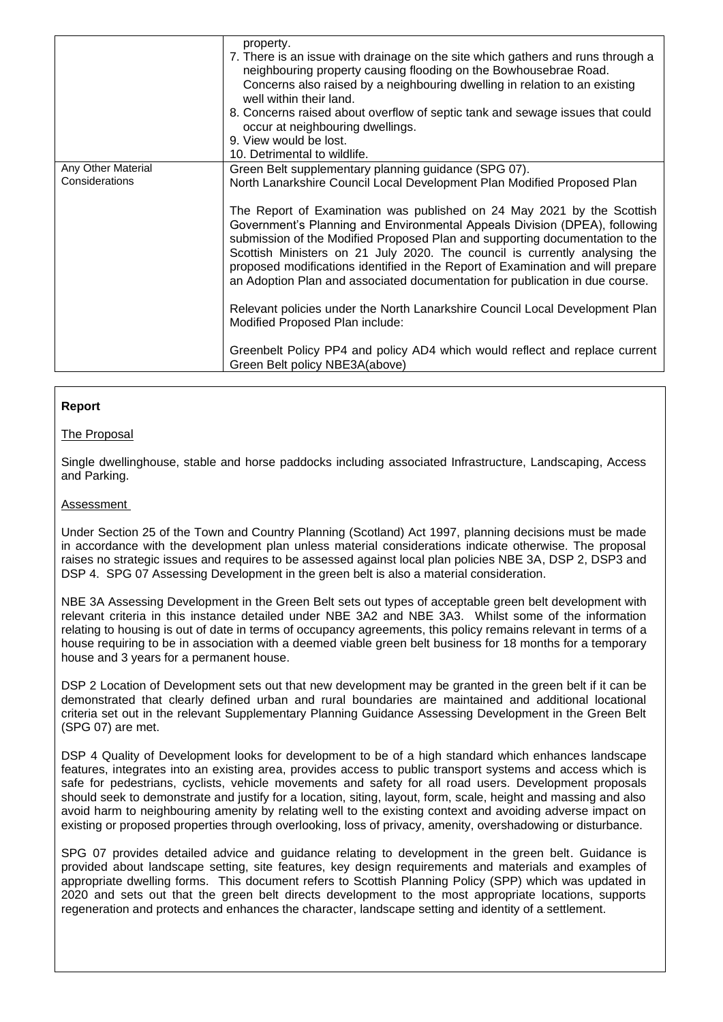|                                      | property.<br>7. There is an issue with drainage on the site which gathers and runs through a<br>neighbouring property causing flooding on the Bowhousebrae Road.<br>Concerns also raised by a neighbouring dwelling in relation to an existing<br>well within their land.<br>8. Concerns raised about overflow of septic tank and sewage issues that could<br>occur at neighbouring dwellings.<br>9. View would be lost.<br>10. Detrimental to wildlife.                                                                                                                                                                                                                                                 |
|--------------------------------------|----------------------------------------------------------------------------------------------------------------------------------------------------------------------------------------------------------------------------------------------------------------------------------------------------------------------------------------------------------------------------------------------------------------------------------------------------------------------------------------------------------------------------------------------------------------------------------------------------------------------------------------------------------------------------------------------------------|
| Any Other Material<br>Considerations | Green Belt supplementary planning guidance (SPG 07).<br>North Lanarkshire Council Local Development Plan Modified Proposed Plan<br>The Report of Examination was published on 24 May 2021 by the Scottish<br>Government's Planning and Environmental Appeals Division (DPEA), following<br>submission of the Modified Proposed Plan and supporting documentation to the<br>Scottish Ministers on 21 July 2020. The council is currently analysing the<br>proposed modifications identified in the Report of Examination and will prepare<br>an Adoption Plan and associated documentation for publication in due course.<br>Relevant policies under the North Lanarkshire Council Local Development Plan |
|                                      | Modified Proposed Plan include:<br>Greenbelt Policy PP4 and policy AD4 which would reflect and replace current<br>Green Belt policy NBE3A(above)                                                                                                                                                                                                                                                                                                                                                                                                                                                                                                                                                         |

## **Report**

## The Proposal

Single dwellinghouse, stable and horse paddocks including associated Infrastructure, Landscaping, Access and Parking.

### Assessment

Under Section 25 of the Town and Country Planning (Scotland) Act 1997, planning decisions must be made in accordance with the development plan unless material considerations indicate otherwise. The proposal raises no strategic issues and requires to be assessed against local plan policies NBE 3A, DSP 2, DSP3 and DSP 4. SPG 07 Assessing Development in the green belt is also a material consideration.

NBE 3A Assessing Development in the Green Belt sets out types of acceptable green belt development with relevant criteria in this instance detailed under NBE 3A2 and NBE 3A3. Whilst some of the information relating to housing is out of date in terms of occupancy agreements, this policy remains relevant in terms of a house requiring to be in association with a deemed viable green belt business for 18 months for a temporary house and 3 years for a permanent house.

DSP 2 Location of Development sets out that new development may be granted in the green belt if it can be demonstrated that clearly defined urban and rural boundaries are maintained and additional locational criteria set out in the relevant Supplementary Planning Guidance Assessing Development in the Green Belt (SPG 07) are met.

DSP 4 Quality of Development looks for development to be of a high standard which enhances landscape features, integrates into an existing area, provides access to public transport systems and access which is safe for pedestrians, cyclists, vehicle movements and safety for all road users. Development proposals should seek to demonstrate and justify for a location, siting, layout, form, scale, height and massing and also avoid harm to neighbouring amenity by relating well to the existing context and avoiding adverse impact on existing or proposed properties through overlooking, loss of privacy, amenity, overshadowing or disturbance.

SPG 07 provides detailed advice and guidance relating to development in the green belt. Guidance is provided about landscape setting, site features, key design requirements and materials and examples of appropriate dwelling forms. This document refers to Scottish Planning Policy (SPP) which was updated in 2020 and sets out that the green belt directs development to the most appropriate locations, supports regeneration and protects and enhances the character, landscape setting and identity of a settlement.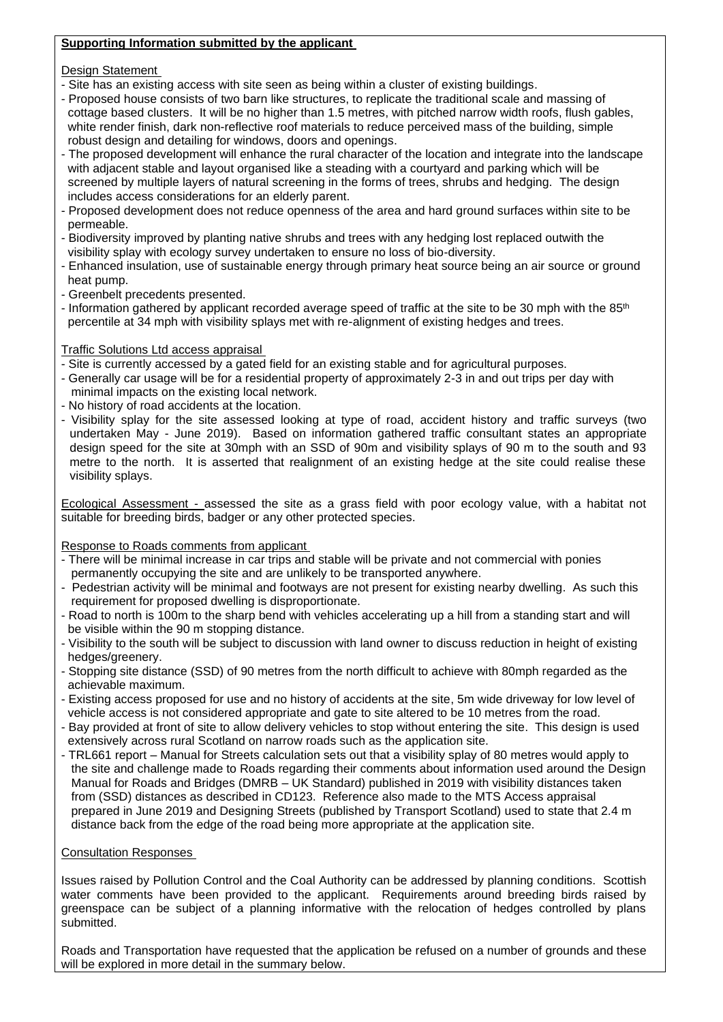## **Supporting Information submitted by the applicant**

Design Statement

- Site has an existing access with site seen as being within a cluster of existing buildings.
- Proposed house consists of two barn like structures, to replicate the traditional scale and massing of cottage based clusters. It will be no higher than 1.5 metres, with pitched narrow width roofs, flush gables, white render finish, dark non-reflective roof materials to reduce perceived mass of the building, simple robust design and detailing for windows, doors and openings.
- The proposed development will enhance the rural character of the location and integrate into the landscape with adjacent stable and layout organised like a steading with a courtyard and parking which will be screened by multiple layers of natural screening in the forms of trees, shrubs and hedging. The design includes access considerations for an elderly parent.
- Proposed development does not reduce openness of the area and hard ground surfaces within site to be permeable.
- Biodiversity improved by planting native shrubs and trees with any hedging lost replaced outwith the visibility splay with ecology survey undertaken to ensure no loss of bio-diversity.
- Enhanced insulation, use of sustainable energy through primary heat source being an air source or ground heat pump.
- Greenbelt precedents presented.
- Information gathered by applicant recorded average speed of traffic at the site to be 30 mph with the 85<sup>th</sup> percentile at 34 mph with visibility splays met with re-alignment of existing hedges and trees.

Traffic Solutions Ltd access appraisal

- Site is currently accessed by a gated field for an existing stable and for agricultural purposes.
- Generally car usage will be for a residential property of approximately 2-3 in and out trips per day with minimal impacts on the existing local network.
- No history of road accidents at the location.
- Visibility splay for the site assessed looking at type of road, accident history and traffic surveys (two undertaken May - June 2019). Based on information gathered traffic consultant states an appropriate design speed for the site at 30mph with an SSD of 90m and visibility splays of 90 m to the south and 93 metre to the north. It is asserted that realignment of an existing hedge at the site could realise these visibility splays.

Ecological Assessment - assessed the site as a grass field with poor ecology value, with a habitat not suitable for breeding birds, badger or any other protected species.

Response to Roads comments from applicant

- There will be minimal increase in car trips and stable will be private and not commercial with ponies permanently occupying the site and are unlikely to be transported anywhere.
- Pedestrian activity will be minimal and footways are not present for existing nearby dwelling. As such this requirement for proposed dwelling is disproportionate.
- Road to north is 100m to the sharp bend with vehicles accelerating up a hill from a standing start and will be visible within the 90 m stopping distance.
- Visibility to the south will be subject to discussion with land owner to discuss reduction in height of existing hedges/greenery.
- Stopping site distance (SSD) of 90 metres from the north difficult to achieve with 80mph regarded as the achievable maximum.
- Existing access proposed for use and no history of accidents at the site, 5m wide driveway for low level of vehicle access is not considered appropriate and gate to site altered to be 10 metres from the road.
- Bay provided at front of site to allow delivery vehicles to stop without entering the site. This design is used extensively across rural Scotland on narrow roads such as the application site.
- TRL661 report Manual for Streets calculation sets out that a visibility splay of 80 metres would apply to the site and challenge made to Roads regarding their comments about information used around the Design Manual for Roads and Bridges (DMRB – UK Standard) published in 2019 with visibility distances taken from (SSD) distances as described in CD123. Reference also made to the MTS Access appraisal prepared in June 2019 and Designing Streets (published by Transport Scotland) used to state that 2.4 m distance back from the edge of the road being more appropriate at the application site.

## Consultation Responses

Issues raised by Pollution Control and the Coal Authority can be addressed by planning conditions. Scottish water comments have been provided to the applicant. Requirements around breeding birds raised by greenspace can be subject of a planning informative with the relocation of hedges controlled by plans submitted.

Roads and Transportation have requested that the application be refused on a number of grounds and these will be explored in more detail in the summary below.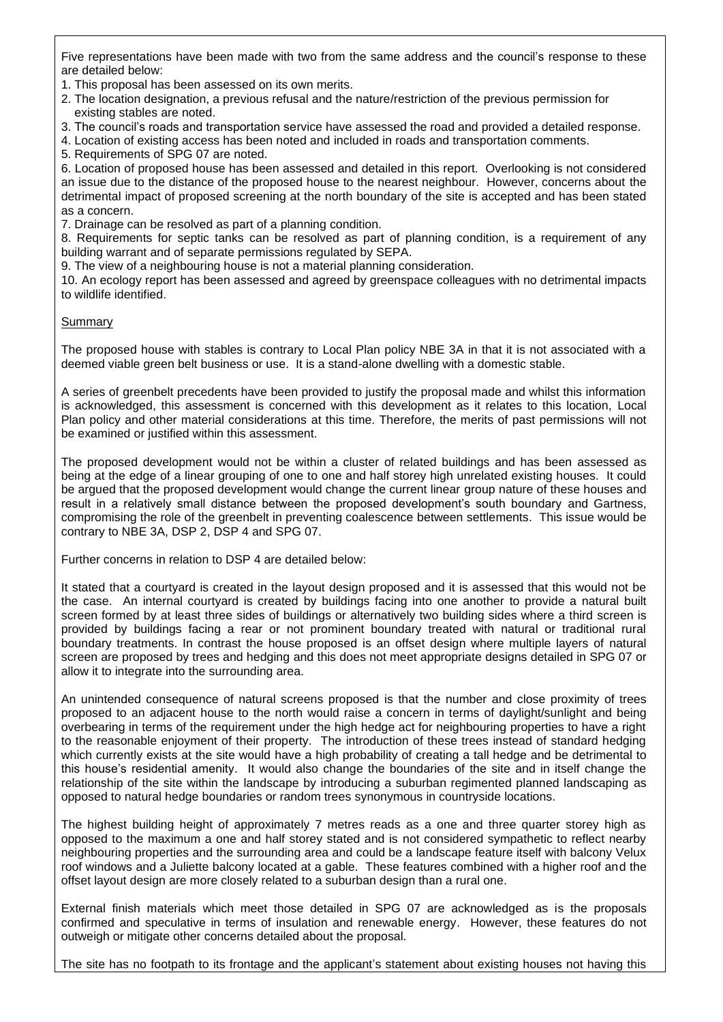Five representations have been made with two from the same address and the council's response to these are detailed below:

- 1. This proposal has been assessed on its own merits.
- 2. The location designation, a previous refusal and the nature/restriction of the previous permission for existing stables are noted.
- 3. The council's roads and transportation service have assessed the road and provided a detailed response.
- 4. Location of existing access has been noted and included in roads and transportation comments.
- 5. Requirements of SPG 07 are noted.

6. Location of proposed house has been assessed and detailed in this report. Overlooking is not considered an issue due to the distance of the proposed house to the nearest neighbour. However, concerns about the detrimental impact of proposed screening at the north boundary of the site is accepted and has been stated as a concern.

7. Drainage can be resolved as part of a planning condition.

8. Requirements for septic tanks can be resolved as part of planning condition, is a requirement of any building warrant and of separate permissions regulated by SEPA.

9. The view of a neighbouring house is not a material planning consideration.

10. An ecology report has been assessed and agreed by greenspace colleagues with no detrimental impacts to wildlife identified.

## Summary

The proposed house with stables is contrary to Local Plan policy NBE 3A in that it is not associated with a deemed viable green belt business or use. It is a stand-alone dwelling with a domestic stable.

A series of greenbelt precedents have been provided to justify the proposal made and whilst this information is acknowledged, this assessment is concerned with this development as it relates to this location, Local Plan policy and other material considerations at this time. Therefore, the merits of past permissions will not be examined or justified within this assessment.

The proposed development would not be within a cluster of related buildings and has been assessed as being at the edge of a linear grouping of one to one and half storey high unrelated existing houses. It could be argued that the proposed development would change the current linear group nature of these houses and result in a relatively small distance between the proposed development's south boundary and Gartness, compromising the role of the greenbelt in preventing coalescence between settlements. This issue would be contrary to NBE 3A, DSP 2, DSP 4 and SPG 07.

Further concerns in relation to DSP 4 are detailed below:

It stated that a courtyard is created in the layout design proposed and it is assessed that this would not be the case. An internal courtyard is created by buildings facing into one another to provide a natural built screen formed by at least three sides of buildings or alternatively two building sides where a third screen is provided by buildings facing a rear or not prominent boundary treated with natural or traditional rural boundary treatments. In contrast the house proposed is an offset design where multiple layers of natural screen are proposed by trees and hedging and this does not meet appropriate designs detailed in SPG 07 or allow it to integrate into the surrounding area.

An unintended consequence of natural screens proposed is that the number and close proximity of trees proposed to an adjacent house to the north would raise a concern in terms of daylight/sunlight and being overbearing in terms of the requirement under the high hedge act for neighbouring properties to have a right to the reasonable enjoyment of their property. The introduction of these trees instead of standard hedging which currently exists at the site would have a high probability of creating a tall hedge and be detrimental to this house's residential amenity. It would also change the boundaries of the site and in itself change the relationship of the site within the landscape by introducing a suburban regimented planned landscaping as opposed to natural hedge boundaries or random trees synonymous in countryside locations.

The highest building height of approximately 7 metres reads as a one and three quarter storey high as opposed to the maximum a one and half storey stated and is not considered sympathetic to reflect nearby neighbouring properties and the surrounding area and could be a landscape feature itself with balcony Velux roof windows and a Juliette balcony located at a gable. These features combined with a higher roof and the offset layout design are more closely related to a suburban design than a rural one.

External finish materials which meet those detailed in SPG 07 are acknowledged as is the proposals confirmed and speculative in terms of insulation and renewable energy. However, these features do not outweigh or mitigate other concerns detailed about the proposal.

The site has no footpath to its frontage and the applicant's statement about existing houses not having this